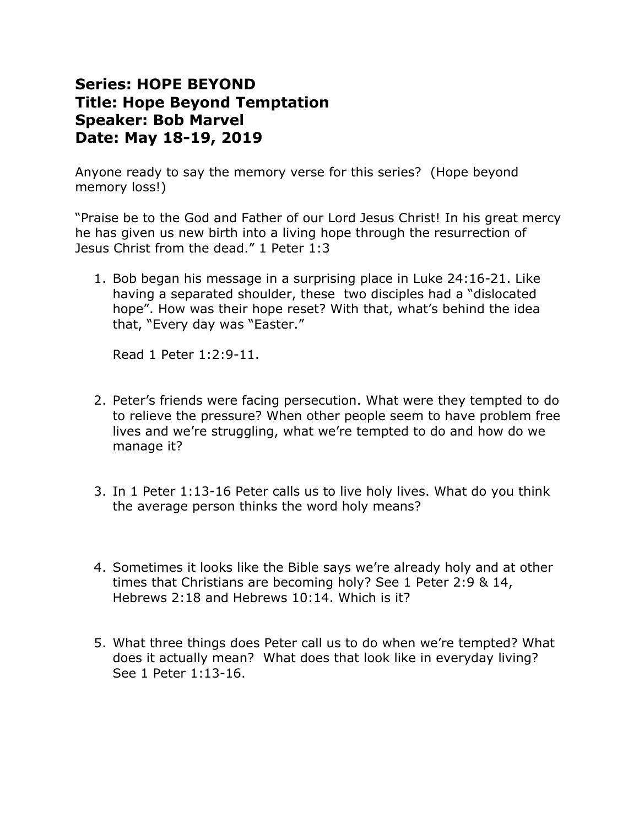## **Series: HOPE BEYOND Title: Hope Beyond Temptation Speaker: Bob Marvel Date: May 18-19, 2019**

Anyone ready to say the memory verse for this series? (Hope beyond memory loss!)

"Praise be to the God and Father of our Lord Jesus Christ! In his great mercy he has given us new birth into a living hope through the resurrection of Jesus Christ from the dead." 1 Peter 1:3

1. Bob began his message in a surprising place in Luke 24:16-21. Like having a separated shoulder, these two disciples had a "dislocated hope". How was their hope reset? With that, what's behind the idea that, "Every day was "Easter."

Read 1 Peter 1:2:9-11.

- 2. Peter's friends were facing persecution. What were they tempted to do to relieve the pressure? When other people seem to have problem free lives and we're struggling, what we're tempted to do and how do we manage it?
- 3. In 1 Peter 1:13-16 Peter calls us to live holy lives. What do you think the average person thinks the word holy means?
- 4. Sometimes it looks like the Bible says we're already holy and at other times that Christians are becoming holy? See 1 Peter 2:9 & 14, Hebrews 2:18 and Hebrews 10:14. Which is it?
- 5. What three things does Peter call us to do when we're tempted? What does it actually mean? What does that look like in everyday living? See 1 Peter 1:13-16.